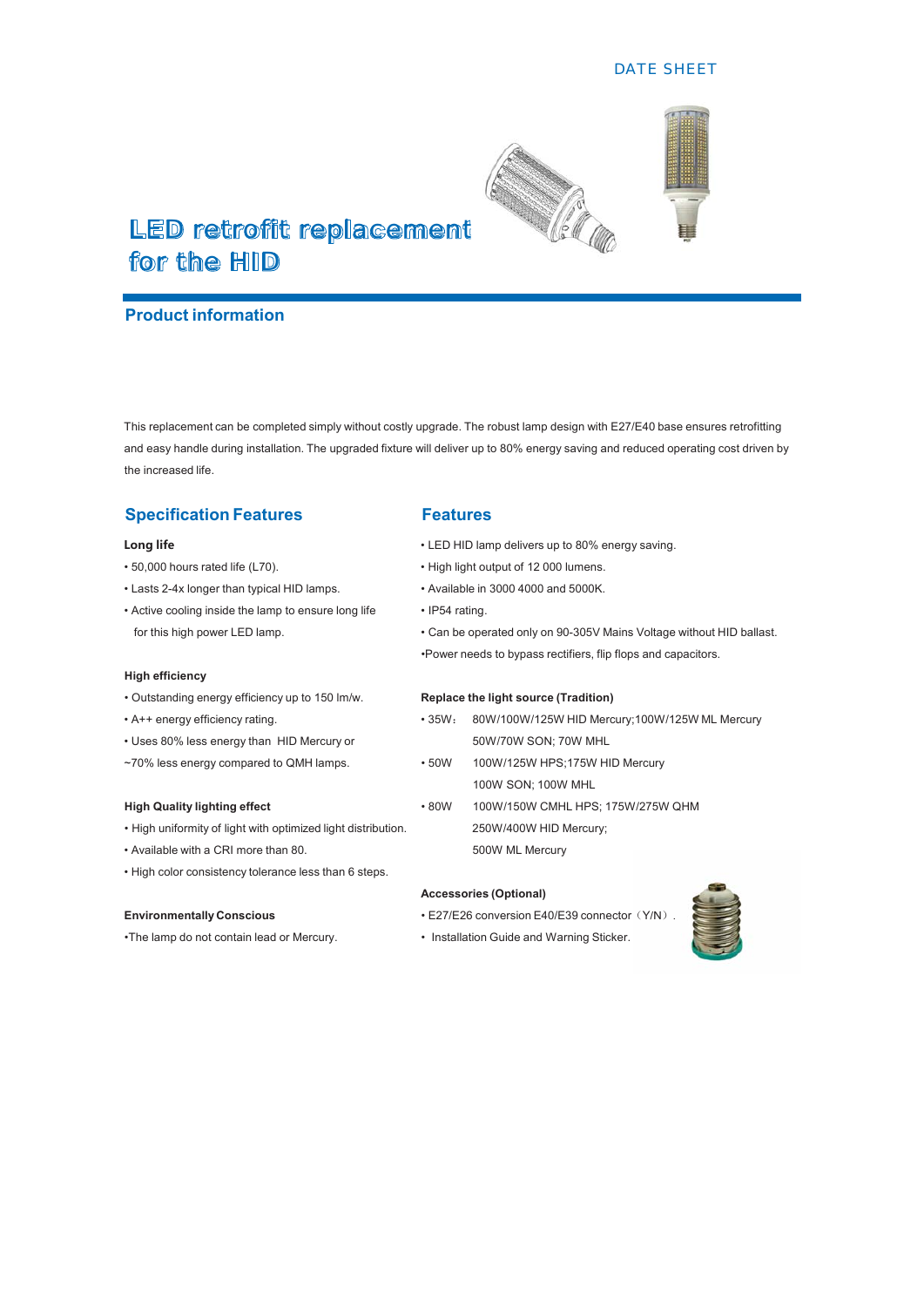#### DATE SHEET



# LED retrofit replacement for the HID

### **Product information**

This replacement can be completed simply without costly upgrade. The robust lamp design with E27/E40 base ensures retrofitting and easy handle during installation. The upgraded fixture will deliver up to 80% energy saving and reduced operating cost driven by the increased life.

## **Specification Features Features**

- 
- Lasts 2-4x longer than typical HID lamps. Nvailable in 3000 4000 and 5000K.
- Active cooling inside the lamp to ensure long life IP54 rating.

#### **High efficiency**

- Outstanding energy efficiency up to 150 lm/w. **Replace the light source (Tradition)**
- 
- Uses 80% less energy than HID Mercury or 50W/70W SON; 70W MHL
- ~70% less energy compared to QMH lamps. 50W 100W/125W HPS;175W HID Mercury

- High uniformity of light with optimized light distribution. 250W/400W HID Mercury:
- Available with a CRI more than 80. Solly be a state of the Solly ML Mercury
- High color consistency tolerance less than 6 steps.

•The lamp do not contain lead or Mercury. • Installation Guide and Warning Sticker.

- **2DTMROLARK EVER IN LED HID lamp delivers up to 80% energy saving.**
- 50,000 hours rated life (L70). <br>• High light output of 12 000 lumens.
	-
	-
	- for this high power LED lamp. **Can be operated only on 90-305V Mains Voltage without HID ballast.** 
		- Power needs to bypass rectifiers, flip flops and capacitors.

- A++ energy efficiency rating. The state of the state of the state of the state of the state of the state of the state of the state of the state of the state of the state of the state of the state of the state of the stat
	-
	- 100W SON; 100W MHL
- High Quality lighting effect **All Accords 80W** 100W/150W CMHL HPS; 175W/275W QHM

#### **Accessories (Optional)**

**Environmentally Conscious Environmentally Conscious EXALL E27/E26** conversion E40/E39 connector (Y/N).

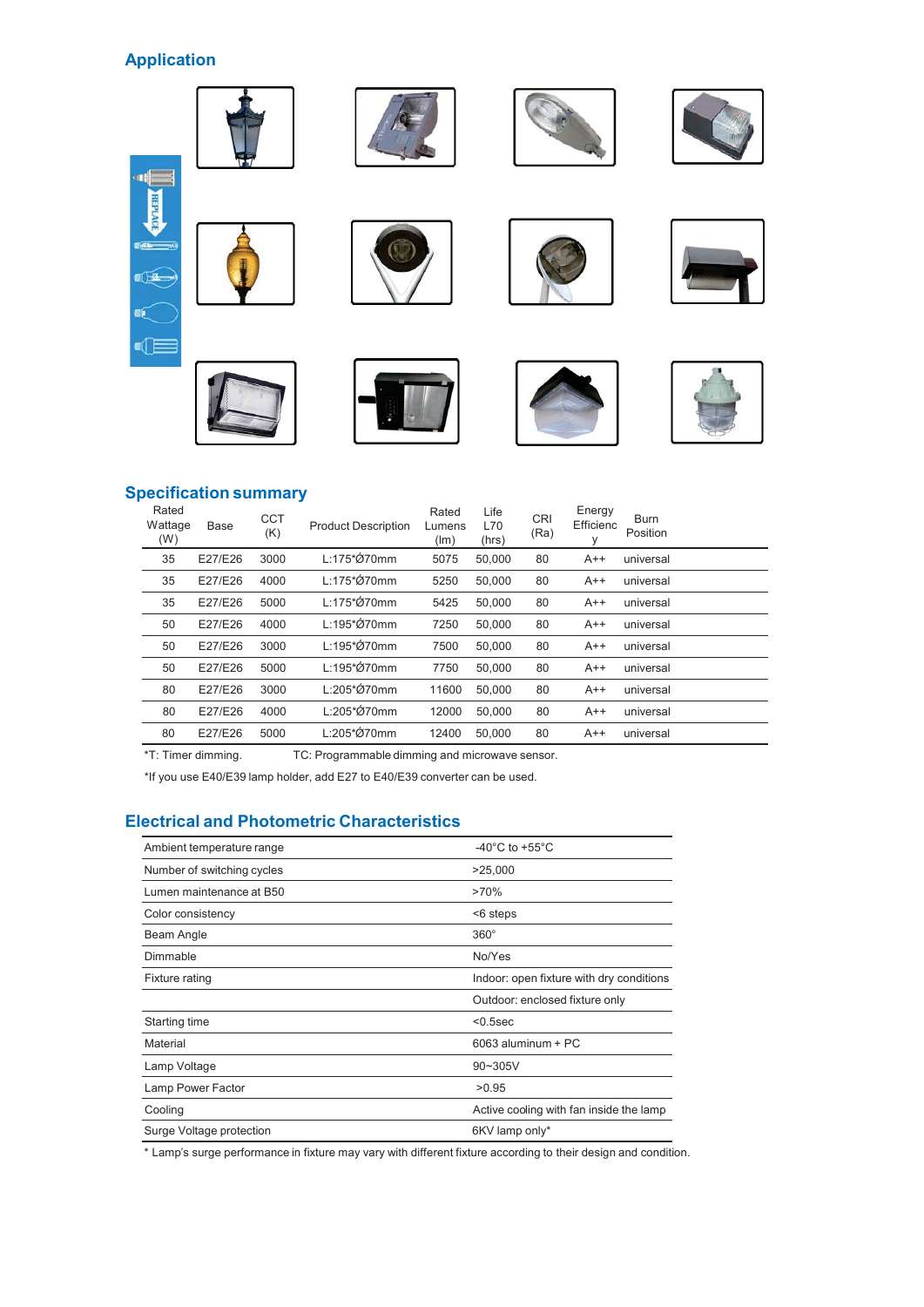## **Application**



## **Specification summary**

| Rated<br>Wattage<br>(W) | <b>Base</b> | <b>CCT</b><br>(K) | <b>Product Description</b> | Rated<br>Lumens<br>(lm) | Life<br>L70<br>(hrs) | <b>CRI</b><br>(Ra) | Energy<br>Efficienc<br>У | <b>Burn</b><br>Position |
|-------------------------|-------------|-------------------|----------------------------|-------------------------|----------------------|--------------------|--------------------------|-------------------------|
| 35                      | E27/E26     | 3000              | L:175*Ø70mm                | 5075                    | 50,000               | 80                 | $A++$                    | universal               |
| 35                      | E27/E26     | 4000              | L:175*Ø70mm                | 5250                    | 50,000               | 80                 | $A++$                    | universal               |
| 35                      | E27/E26     | 5000              | L:175*Ø70mm                | 5425                    | 50,000               | 80                 | $A++$                    | universal               |
| 50                      | E27/E26     | 4000              | $L:195*070$ mm             | 7250                    | 50,000               | 80                 | $A++$                    | universal               |
| 50                      | E27/E26     | 3000              | $L:195*070$ mm             | 7500                    | 50.000               | 80                 | $A++$                    | universal               |
| 50                      | E27/E26     | 5000              | L:195*Ø70mm                | 7750                    | 50.000               | 80                 | $A++$                    | universal               |
| 80                      | E27/E26     | 3000              | L:205*Ø70mm                | 11600                   | 50.000               | 80                 | $A++$                    | universal               |
| 80                      | E27/E26     | 4000              | L:205*Ø70mm                | 12000                   | 50,000               | 80                 | $A++$                    | universal               |
| 80                      | E27/E26     | 5000              | L:205*Ø70mm                | 12400                   | 50,000               | 80                 | $A++$                    | universal               |

\*T: Timer dimming. TC: Programmable dimming and microwave sensor.

\*If you use E40/E39 lamp holder, add E27 to E40/E39 converter can be used.

## **Electrical and Photometric Characteristics**

| Ambient temperature range  | $-40^{\circ}$ C to $+55^{\circ}$ C       |
|----------------------------|------------------------------------------|
| Number of switching cycles | >25,000                                  |
| Lumen maintenance at B50   | >70%                                     |
| Color consistency          | <6 steps                                 |
| Beam Angle                 | $360^\circ$                              |
| Dimmable                   | No/Yes                                   |
| Fixture rating             | Indoor: open fixture with dry conditions |
|                            | Outdoor: enclosed fixture only           |
| Starting time              | $< 0.5$ sec                              |
| Material                   | $6063$ aluminum + PC                     |
| Lamp Voltage               | $90 - 305V$                              |
| Lamp Power Factor          | >0.95                                    |
| Cooling                    | Active cooling with fan inside the lamp  |
| Surge Voltage protection   | 6KV lamp only*                           |

\* Lamp's surge performance in fixture may vary with different fixture according to their design and condition.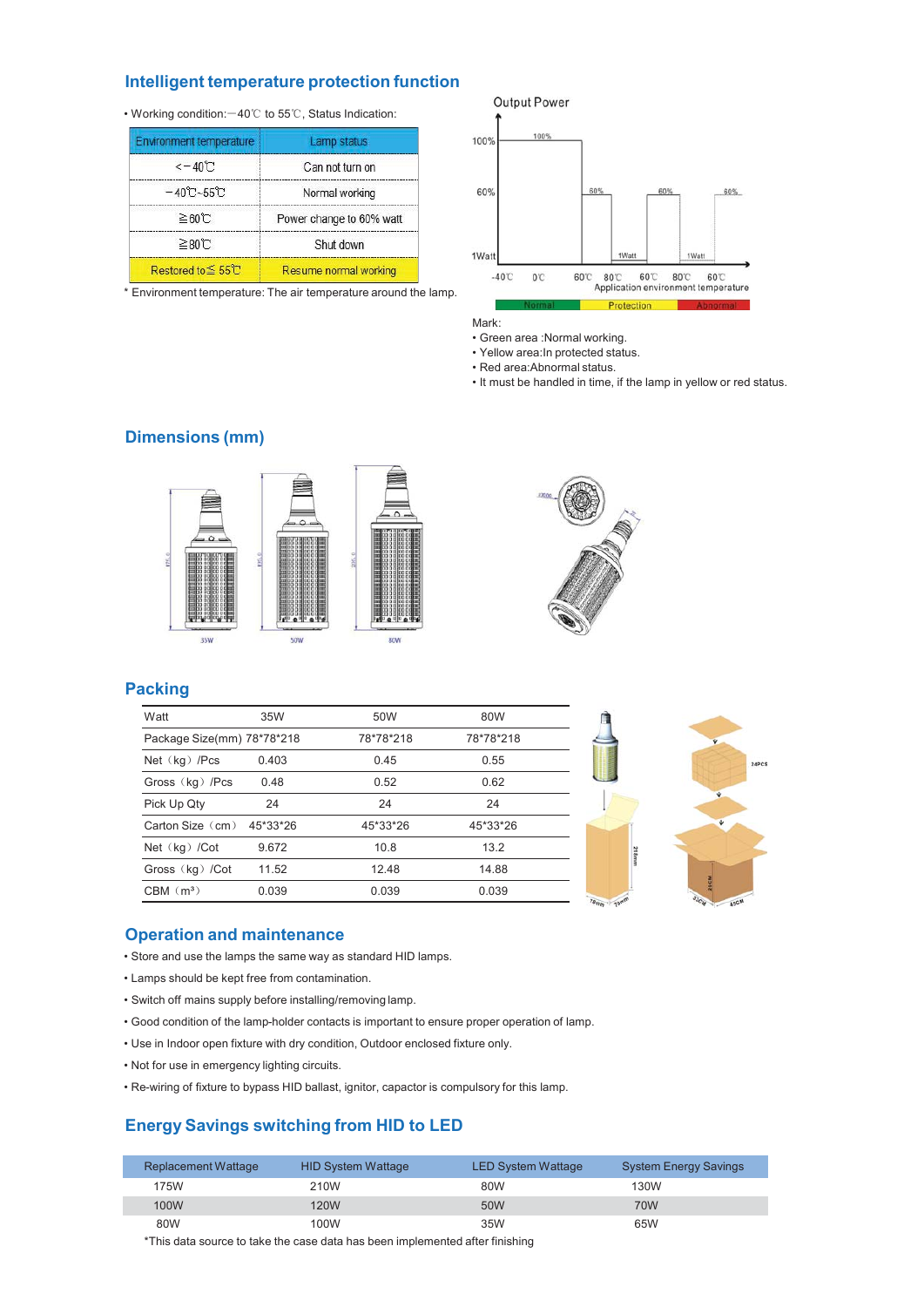### Intelligent temperature protection function

• Working condition: -40°C to 55°C, Status Indication:

| <b>Environment temperature</b>           | Lamp status              |
|------------------------------------------|--------------------------|
| $<-40$ °C                                | Can not turn on          |
| $-40^{\circ}\text{C}-55^{\circ}\text{C}$ | Normal working           |
| $\geq 60$ C                              | Power change to 60% watt |
| ≥80°C                                    | Shut down                |
| Restored to ≦55℃                         | Resume normal working    |

\* Environment temperature: The air temperature around the lamp.

Output Power 100% 100% 60% 60% 60% 60% 1Watt 1Watt 1 Wa 80°C 60°C 80°C 60°C<br>Application environment temperature  $-40^{\circ}$  $0^{\circ}$ 60°C

Mark:

- Green area : Normal working.
- · Yellow area: In protected status.
- Red area:Abnormal status.
- . It must be handled in time, if the lamp in yellow or red status.





## **Packing**

| Watt                       | 35W      | 50W       | 80W       |                  |
|----------------------------|----------|-----------|-----------|------------------|
| Package Size(mm) 78*78*218 |          | 78*78*218 | 78*78*218 |                  |
| Net $(kg)$ /Pcs            | 0.403    | 0.45      | 0.55      |                  |
| Gross (kg) /Pcs            | 0.48     | 0.52      | 0.62      |                  |
| Pick Up Qty                | 24       | 24        | 24        |                  |
| Carton Size  (cm)          | 45*33*26 | 45*33*26  | 45*33*26  |                  |
| Net $(kg)$ /Cot            | 9.672    | 10.8      | 13.2      |                  |
| Gross (kg) /Cot            | 11.52    | 12.48     | 14.88     |                  |
| $CBM$ $(m3)$               | 0.039    | 0.039     | 0.039     | $\overline{z_0}$ |



#### **Operation and maintenance**

- Store and use the lamps the same way as standard HID lamps.
- Lamps should be kept free from contamination.
- . Switch off mains supply before installing/removing lamp.
- . Good condition of the lamp-holder contacts is important to ensure proper operation of lamp.
- . Use in Indoor open fixture with dry condition, Outdoor enclosed fixture only.
- . Not for use in emergency lighting circuits.
- . Re-wiring of fixture to bypass HID ballast, ignitor, capactor is compulsory for this lamp.

## **Energy Savings switching from HID to LED**

| Replacement Wattage | <b>HID System Wattage</b> | <b>LED System Wattage</b> | <b>System Energy Savings</b> |
|---------------------|---------------------------|---------------------------|------------------------------|
| 175W                | 210W                      | 80W                       | 130W                         |
| 100W                | 120W                      | 50W                       | 70W                          |
| 80W                 | 100W                      | 35W                       | 65W                          |

\*This data source to take the case data has been implemented after finishing

### **Dimensions (mm)**